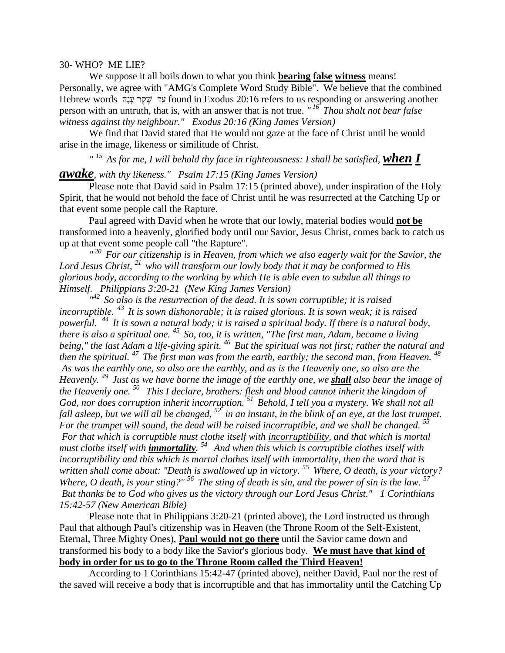## 30- WHO? ME LIE?

We suppose it all boils down to what you think **bearing false witness** means! Personally, we agree with "AMG's Complete Word Study Bible". We believe that the combined Hebrew words עֲד שֶׁקֶר עָנָה found in Exodus 20:16 refers to us responding or answering another person with an untruth, that is, with an answer that is not true. *" <sup>16</sup>Thou shalt not bear false witness against thy neighbour." Exodus 20:16 (King James Version)*

We find that David stated that He would not gaze at the face of Christ until he would arise in the image, likeness or similitude of Christ.

<sup>" 15</sup> As for me, I will behold thy face in righteousness: I shall be satisfied, **when I** 

## *awake, with thy likeness." Psalm 17:15 (King James Version)*

Please note that David said in Psalm 17:15 (printed above), under inspiration of the Holy Spirit, that he would not behold the face of Christ until he was resurrected at the Catching Up or that event some people call the Rapture.

Paul agreed with David when he wrote that our lowly, material bodies would **not be** transformed into a heavenly, glorified body until our Savior, Jesus Christ, comes back to catch us up at that event some people call "the Rapture".

*" <sup>20</sup>For our citizenship is in Heaven, from which we also eagerly wait for the Savior, the Lord Jesus Christ, <sup>21</sup>who will transform our lowly body that it may be conformed to His glorious body, according to the working by which He is able even to subdue all things to Himself. Philippians 3:20-21 (New King James Version)* 

<sup> $142$ </sup> So also is the resurrection of the dead. It is sown corruptible; it is raised *incorruptible.<sup>43</sup>It is sown dishonorable; it is raised glorious. It is sown weak; it is raised powerful. <sup>44</sup>It is sown a natural body; it is raised a spiritual body. If there is a natural body, there is also a spiritual one. <sup>45</sup>So, too, it is written, "The first man, Adam, became a living being," the last Adam a life-giving spirit. <sup>46</sup>But the spiritual was not first; rather the natural and then the spiritual. <sup>47</sup>The first man was from the earth, earthly; the second man, from Heaven. 48 As was the earthly one, so also are the earthly, and as is the Heavenly one, so also are the Heavenly. <sup>49</sup>Just as we have borne the image of the earthly one, we shall also bear the image of the Heavenly one. <sup>50</sup>This I declare, brothers: flesh and blood cannot inherit the kingdom of God, nor does corruption inherit incorruption. <sup>51</sup>Behold, I tell you a mystery. We shall not all fall asleep, but we will all be changed, <sup>52</sup>in an instant, in the blink of an eye, at the last trumpet. For the trumpet will sound, the dead will be raised incorruptible, and we shall be changed.* <sup>53</sup> *For that which is corruptible must clothe itself with incorruptibility, and that which is mortal must clothe itself with immortality. <sup>54</sup>And when this which is corruptible clothes itself with incorruptibility and this which is mortal clothes itself with immortality, then the word that is written shall come about: "Death is swallowed up in victory. <sup>55</sup>Where, O death, is your victory? Where, O death, is your sting?" <sup>56</sup>The sting of death is sin, and the power of sin is the law. <sup>57</sup> But thanks be to God who gives us the victory through our Lord Jesus Christ." 1 Corinthians 15:42-57 (New American Bible)* 

Please note that in Philippians 3:20-21 (printed above), the Lord instructed us through Paul that although Paul's citizenship was in Heaven (the Throne Room of the Self-Existent, Eternal, Three Mighty Ones), **Paul would not go there** until the Savior came down and transformed his body to a body like the Savior's glorious body. **We must have that kind of body in order for us to go to the Throne Room called the Third Heaven!**

According to 1 Corinthians 15:42-47 (printed above), neither David, Paul nor the rest of the saved will receive a body that is incorruptible and that has immortality until the Catching Up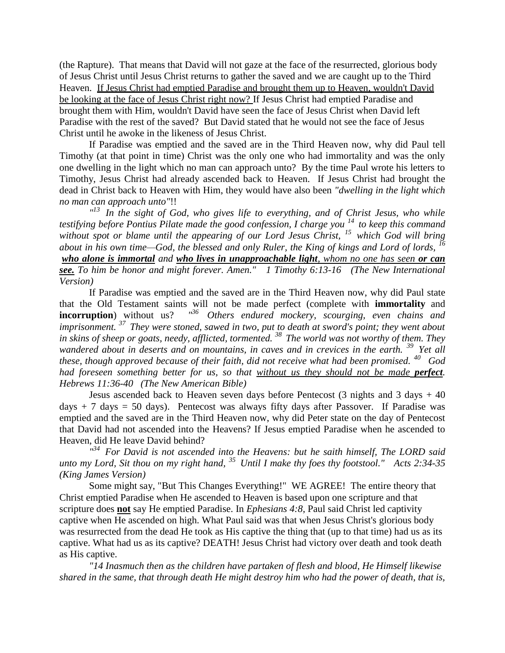(the Rapture). That means that David will not gaze at the face of the resurrected, glorious body of Jesus Christ until Jesus Christ returns to gather the saved and we are caught up to the Third Heaven. If Jesus Christ had emptied Paradise and brought them up to Heaven, wouldn't David be looking at the face of Jesus Christ right now? If Jesus Christ had emptied Paradise and brought them with Him, wouldn't David have seen the face of Jesus Christ when David left Paradise with the rest of the saved? But David stated that he would not see the face of Jesus Christ until he awoke in the likeness of Jesus Christ.

If Paradise was emptied and the saved are in the Third Heaven now, why did Paul tell Timothy (at that point in time) Christ was the only one who had immortality and was the only one dwelling in the light which no man can approach unto? By the time Paul wrote his letters to Timothy, Jesus Christ had already ascended back to Heaven. If Jesus Christ had brought the dead in Christ back to Heaven with Him, they would have also been *"dwelling in the light which no man can approach unto"*!!

<sup>"13</sup> In the sight of God, who gives life to everything, and of Christ Jesus, who while *testifying before Pontius Pilate made the good confession, I charge you <sup>14</sup>to keep this command without spot or blame until the appearing of our Lord Jesus Christ, <sup>15</sup>which God will bring about in his own time—God, the blessed and only Ruler, the King of kings and Lord of lords, <sup>16</sup> who alone is immortal and who lives in unapproachable light, whom no one has seen or can see. To him be honor and might forever. Amen." 1 Timothy 6:13-16 (The New International Version)*

If Paradise was emptied and the saved are in the Third Heaven now, why did Paul state that the Old Testament saints will not be made perfect (complete with **immortality** and **incorruption**) without us? <sup>136</sup> Others endured mockery, scourging, even chains and *imprisonment. <sup>37</sup>They were stoned, sawed in two, put to death at sword's point; they went about in skins of sheep or goats, needy, afflicted, tormented. <sup>38</sup>The world was not worthy of them. They wandered about in deserts and on mountains, in caves and in crevices in the earth. <sup>39</sup>Yet all these, though approved because of their faith, did not receive what had been promised. <sup>40</sup>God had foreseen something better for us, so that without us they should not be made perfect. Hebrews 11:36-40 (The New American Bible)*

Jesus ascended back to Heaven seven days before Pentecost  $(3 \text{ nights and } 3 \text{ days } + 40)$ days  $+ 7$  days = 50 days). Pentecost was always fifty days after Passover. If Paradise was emptied and the saved are in the Third Heaven now, why did Peter state on the day of Pentecost that David had not ascended into the Heavens? If Jesus emptied Paradise when he ascended to Heaven, did He leave David behind?

*" <sup>34</sup>For David is not ascended into the Heavens: but he saith himself, The LORD said unto my Lord, Sit thou on my right hand, <sup>35</sup>Until I make thy foes thy footstool." Acts 2:34-35 (King James Version)* 

Some might say, "But This Changes Everything!" WE AGREE! The entire theory that Christ emptied Paradise when He ascended to Heaven is based upon one scripture and that scripture does **not** say He emptied Paradise. In *Ephesians 4:8*, Paul said Christ led captivity captive when He ascended on high. What Paul said was that when Jesus Christ's glorious body was resurrected from the dead He took as His captive the thing that (up to that time) had us as its captive. What had us as its captive? DEATH! Jesus Christ had victory over death and took death as His captive.

 *"14 Inasmuch then as the children have partaken of flesh and blood, He Himself likewise shared in the same, that through death He might destroy him who had the power of death, that is,*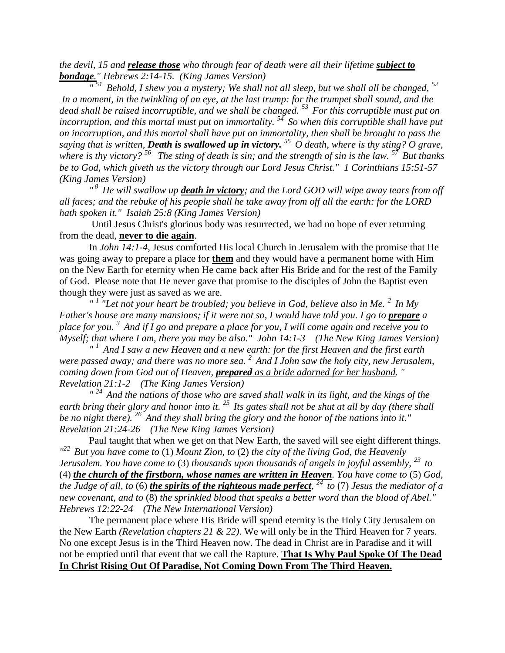*the devil, 15 and release those who through fear of death were all their lifetime subject to bondage." Hebrews 2:14-15. (King James Version)*

 $\frac{m}{s}$ <sup>51</sup> Behold, I shew you a mystery; We shall not all sleep, but we shall all be changed, <sup>52</sup> *In a moment, in the twinkling of an eye, at the last trump: for the trumpet shall sound, and the dead shall be raised incorruptible, and we shall be changed. <sup>53</sup>For this corruptible must put on incorruption, and this mortal must put on immortality. <sup>54</sup>So when this corruptible shall have put on incorruption, and this mortal shall have put on immortality, then shall be brought to pass the saying that is written, Death is swallowed up in victory. <sup>55</sup>O death, where is thy sting? O grave, where is thy victory? <sup>56</sup>The sting of death is sin; and the strength of sin is the law. <sup>57</sup>But thanks be to God, which giveth us the victory through our Lord Jesus Christ." 1 Corinthians 15:51-57 (King James Version)*

<sup>8</sup> <sup>*n*<sup>8</sup> *He will swallow up <u>death in victory</u>; and the Lord GOD will wipe away tears from off</sup> all faces; and the rebuke of his people shall he take away from off all the earth: for the LORD hath spoken it." Isaiah 25:8 (King James Version)*

Until Jesus Christ's glorious body was resurrected, we had no hope of ever returning from the dead, **never to die again**.

In *John 14:1-4*, Jesus comforted His local Church in Jerusalem with the promise that He was going away to prepare a place for **them** and they would have a permanent home with Him on the New Earth for eternity when He came back after His Bride and for the rest of the Family of God. Please note that He never gave that promise to the disciples of John the Baptist even though they were just as saved as we are.

*" 1 "Let not your heart be troubled; you believe in God, believe also in Me. <sup>2</sup>In My Father's house are many mansions; if it were not so, I would have told you. I go to prepare a place for you. <sup>3</sup>And if I go and prepare a place for you, I will come again and receive you to Myself; that where I am, there you may be also." John 14:1-3 (The New King James Version)*

*" <sup>1</sup>And I saw a new Heaven and a new earth: for the first Heaven and the first earth were passed away; and there was no more sea. <sup>2</sup>And I John saw the holy city, new Jerusalem, coming down from God out of Heaven, prepared as a bride adorned for her husband. " Revelation 21:1-2 (The King James Version)*

*" <sup>24</sup>And the nations of those who are saved shall walk in its light, and the kings of the earth bring their glory and honor into it.* <sup>25</sup>*Its gates shall not be shut at all by day (there shall be no night there). <sup>26</sup>And they shall bring the glory and the honor of the nations into it." Revelation 21:24-26 (The New King James Version)*

Paul taught that when we get on that New Earth, the saved will see eight different things. *" <sup>22</sup>But you have come to* (1) *Mount Zion, to* (2) *the city of the living God, the Heavenly Jerusalem. You have come to* (3) *thousands upon thousands of angels in joyful assembly, <sup>23</sup>to*  (4) *the church of the firstborn, whose names are written in Heaven. You have come to* (5) *God, the Judge of all, to* (6) *the spirits of the righteous made perfect, <sup>24</sup>to* (7) *Jesus the mediator of a new covenant, and to* (8) *the sprinkled blood that speaks a better word than the blood of Abel." Hebrews 12:22-24 (The New International Version)*

The permanent place where His Bride will spend eternity is the Holy City Jerusalem on the New Earth *(Revelation chapters 21 & 22)*. We will only be in the Third Heaven for 7 years. No one except Jesus is in the Third Heaven now. The dead in Christ are in Paradise and it will not be emptied until that event that we call the Rapture. **That Is Why Paul Spoke Of The Dead In Christ Rising Out Of Paradise, Not Coming Down From The Third Heaven.**